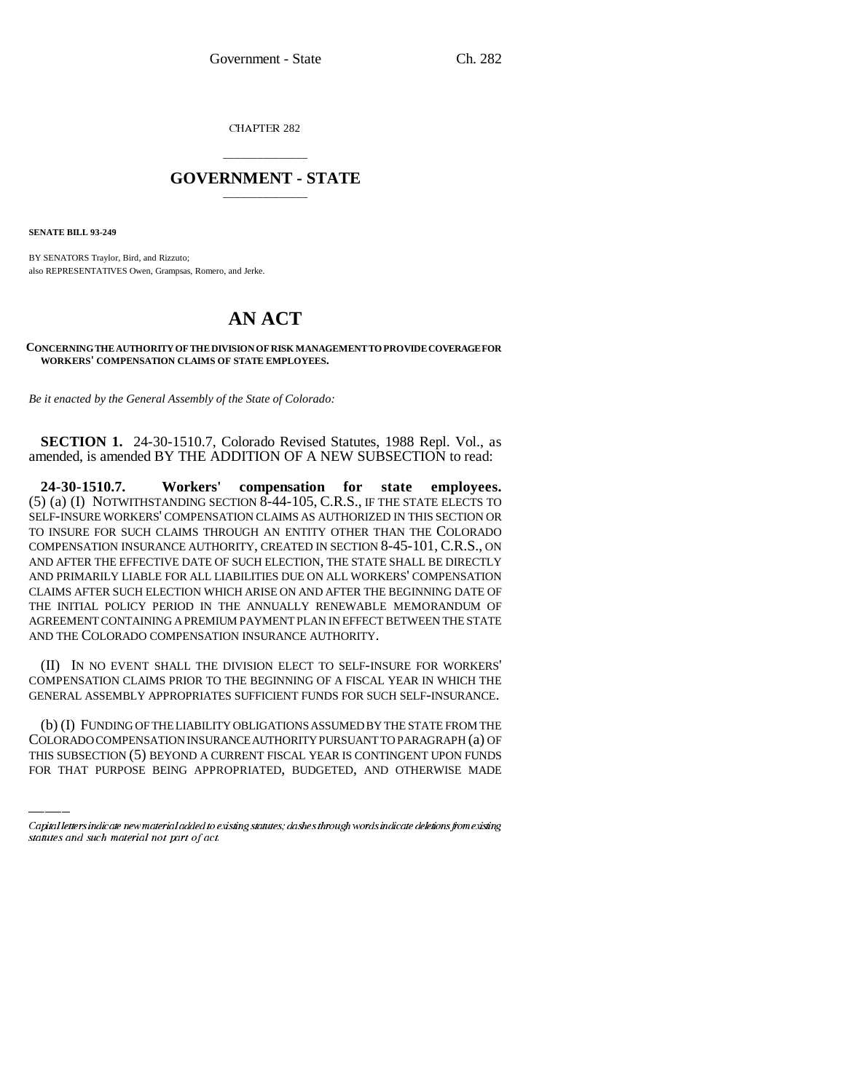CHAPTER 282

## \_\_\_\_\_\_\_\_\_\_\_\_\_\_\_ **GOVERNMENT - STATE** \_\_\_\_\_\_\_\_\_\_\_\_\_\_\_

**SENATE BILL 93-249**

BY SENATORS Traylor, Bird, and Rizzuto; also REPRESENTATIVES Owen, Grampsas, Romero, and Jerke.

## **AN ACT**

## **CONCERNING THE AUTHORITY OF THE DIVISION OF RISK MANAGEMENT TO PROVIDE COVERAGE FOR WORKERS' COMPENSATION CLAIMS OF STATE EMPLOYEES.**

*Be it enacted by the General Assembly of the State of Colorado:*

**SECTION 1.** 24-30-1510.7, Colorado Revised Statutes, 1988 Repl. Vol., as amended, is amended BY THE ADDITION OF A NEW SUBSECTION to read:

**24-30-1510.7. Workers' compensation for state employees.** (5) (a) (I) NOTWITHSTANDING SECTION 8-44-105, C.R.S., IF THE STATE ELECTS TO SELF-INSURE WORKERS' COMPENSATION CLAIMS AS AUTHORIZED IN THIS SECTION OR TO INSURE FOR SUCH CLAIMS THROUGH AN ENTITY OTHER THAN THE COLORADO COMPENSATION INSURANCE AUTHORITY, CREATED IN SECTION 8-45-101, C.R.S., ON AND AFTER THE EFFECTIVE DATE OF SUCH ELECTION, THE STATE SHALL BE DIRECTLY AND PRIMARILY LIABLE FOR ALL LIABILITIES DUE ON ALL WORKERS' COMPENSATION CLAIMS AFTER SUCH ELECTION WHICH ARISE ON AND AFTER THE BEGINNING DATE OF THE INITIAL POLICY PERIOD IN THE ANNUALLY RENEWABLE MEMORANDUM OF AGREEMENT CONTAINING A PREMIUM PAYMENT PLAN IN EFFECT BETWEEN THE STATE AND THE COLORADO COMPENSATION INSURANCE AUTHORITY.

(II) IN NO EVENT SHALL THE DIVISION ELECT TO SELF-INSURE FOR WORKERS' COMPENSATION CLAIMS PRIOR TO THE BEGINNING OF A FISCAL YEAR IN WHICH THE GENERAL ASSEMBLY APPROPRIATES SUFFICIENT FUNDS FOR SUCH SELF-INSURANCE.

(b) (I) FUNDING OF THE LIABILITY OBLIGATIONS ASSUMED BY THE STATE FROM THE COLORADO COMPENSATION INSURANCE AUTHORITY PURSUANT TO PARAGRAPH (a) OF THIS SUBSECTION (5) BEYOND A CURRENT FISCAL YEAR IS CONTINGENT UPON FUNDS FOR THAT PURPOSE BEING APPROPRIATED, BUDGETED, AND OTHERWISE MADE

Capital letters indicate new material added to existing statutes; dashes through words indicate deletions from existing statutes and such material not part of act.